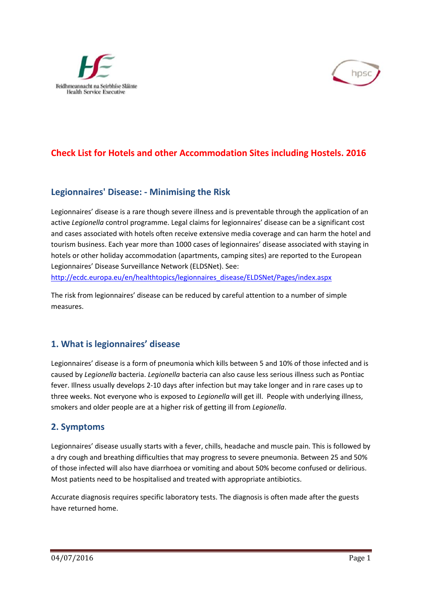



# **Check List for Hotels and other Accommodation Sites including Hostels. 2016**

#### **Legionnaires' Disease: - Minimising the Risk**

Legionnaires' disease is a rare though severe illness and is preventable through the application of an active *Legionella* control programme. Legal claims for legionnaires' disease can be a significant cost and cases associated with hotels often receive extensive media coverage and can harm the hotel and tourism business. Each year more than 1000 cases of legionnaires' disease associated with staying in hotels or other holiday accommodation (apartments, camping sites) are reported to the European Legionnaires' Disease Surveillance Network (ELDSNet). See:

http://ecdc.europa.eu/en/healthtopics/legionnaires\_disease/ELDSNet/Pages/index.aspx

The risk from legionnaires' disease can be reduced by careful attention to a number of simple measures.

# **1. What is legionnaires' disease**

Legionnaires' disease is a form of pneumonia which kills between 5 and 10% of those infected and is caused by *Legionella* bacteria. *Legionella* bacteria can also cause less serious illness such as Pontiac fever. Illness usually develops 2-10 days after infection but may take longer and in rare cases up to three weeks. Not everyone who is exposed to *Legionella* will get ill. People with underlying illness, smokers and older people are at a higher risk of getting ill from *Legionella*.

#### **2. Symptoms**

Legionnaires' disease usually starts with a fever, chills, headache and muscle pain. This is followed by a dry cough and breathing difficulties that may progress to severe pneumonia. Between 25 and 50% of those infected will also have diarrhoea or vomiting and about 50% become confused or delirious. Most patients need to be hospitalised and treated with appropriate antibiotics.

Accurate diagnosis requires specific laboratory tests. The diagnosis is often made after the guests have returned home.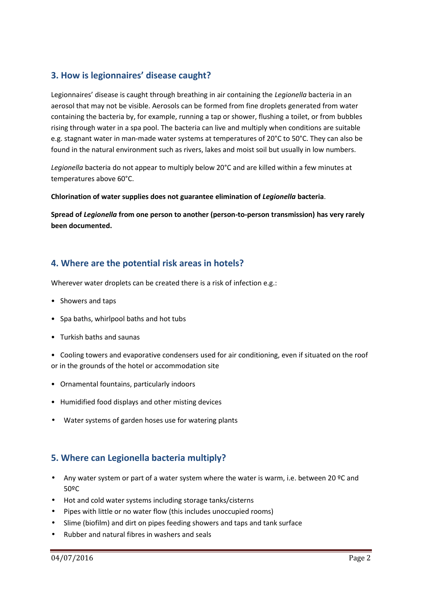### **3. How is legionnaires' disease caught?**

Legionnaires' disease is caught through breathing in air containing the *Legionella* bacteria in an aerosol that may not be visible. Aerosols can be formed from fine droplets generated from water containing the bacteria by, for example, running a tap or shower, flushing a toilet, or from bubbles rising through water in a spa pool. The bacteria can live and multiply when conditions are suitable e.g. stagnant water in man-made water systems at temperatures of 20°C to 50°C. They can also be found in the natural environment such as rivers, lakes and moist soil but usually in low numbers.

Legionella bacteria do not appear to multiply below 20°C and are killed within a few minutes at temperatures above 60°C.

**Chlorination of water supplies does not guarantee elimination of** *Legionella* **bacteria**.

**Spread of** *Legionella* **from one person to another (person-to-person transmission) has very rarely been documented.**

### **4. Where are the potential risk areas in hotels?**

Wherever water droplets can be created there is a risk of infection e.g.:

- Showers and taps
- Spa baths, whirlpool baths and hot tubs
- Turkish baths and saunas
- Cooling towers and evaporative condensers used for air conditioning, even if situated on the roof or in the grounds of the hotel or accommodation site
- Ornamental fountains, particularly indoors
- Humidified food displays and other misting devices
- Water systems of garden hoses use for watering plants

# **5. Where can Legionella bacteria multiply?**

- Any water system or part of a water system where the water is warm, i.e. between 20 ºC and 50ºC
- Hot and cold water systems including storage tanks/cisterns
- Pipes with little or no water flow (this includes unoccupied rooms)
- Slime (biofilm) and dirt on pipes feeding showers and taps and tank surface
- Rubber and natural fibres in washers and seals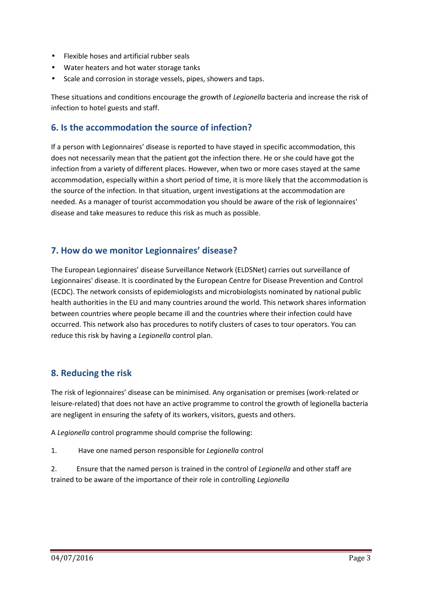- Flexible hoses and artificial rubber seals
- Water heaters and hot water storage tanks
- Scale and corrosion in storage vessels, pipes, showers and taps.

These situations and conditions encourage the growth of *Legionella* bacteria and increase the risk of infection to hotel guests and staff.

#### **6. Is the accommodation the source of infection?**

If a person with Legionnaires' disease is reported to have stayed in specific accommodation, this does not necessarily mean that the patient got the infection there. He or she could have got the infection from a variety of different places. However, when two or more cases stayed at the same accommodation, especially within a short period of time, it is more likely that the accommodation is the source of the infection. In that situation, urgent investigations at the accommodation are needed. As a manager of tourist accommodation you should be aware of the risk of legionnaires' disease and take measures to reduce this risk as much as possible.

# **7. How do we monitor Legionnaires' disease?**

The European Legionnaires' disease Surveillance Network (ELDSNet) carries out surveillance of Legionnaires' disease. It is coordinated by the European Centre for Disease Prevention and Control (ECDC). The network consists of epidemiologists and microbiologists nominated by national public health authorities in the EU and many countries around the world. This network shares information between countries where people became ill and the countries where their infection could have occurred. This network also has procedures to notify clusters of cases to tour operators. You can reduce this risk by having a *Legionella* control plan.

# **8. Reducing the risk**

The risk of legionnaires' disease can be minimised. Any organisation or premises (work-related or leisure-related) that does not have an active programme to control the growth of legionella bacteria are negligent in ensuring the safety of its workers, visitors, guests and others.

A *Legionella* control programme should comprise the following:

1. Have one named person responsible for *Legionella* control

2. Ensure that the named person is trained in the control of *Legionella* and other staff are trained to be aware of the importance of their role in controlling *Legionella*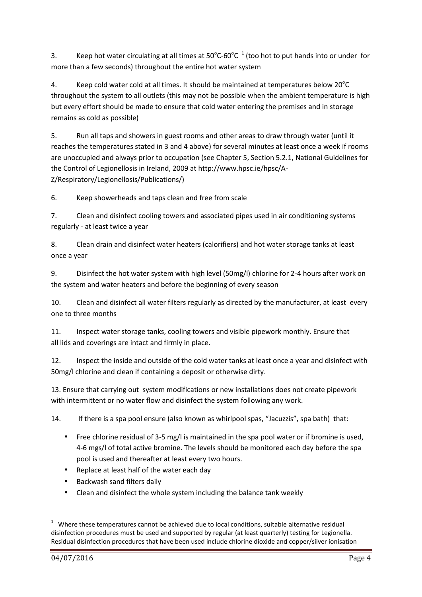3. Keep hot water circulating at all times at  $50^{\circ}$ C-60 $^{\circ}$ C  $^{\circ}$  (too hot to put hands into or under for more than a few seconds) throughout the entire hot water system

4. Keep cold water cold at all times. It should be maintained at temperatures below  $20^{\circ}$ C throughout the system to all outlets (this may not be possible when the ambient temperature is high but every effort should be made to ensure that cold water entering the premises and in storage remains as cold as possible)

5. Run all taps and showers in guest rooms and other areas to draw through water (until it reaches the temperatures stated in 3 and 4 above) for several minutes at least once a week if rooms are unoccupied and always prior to occupation (see Chapter 5, Section 5.2.1, National Guidelines for the Control of Legionellosis in Ireland, 2009 at http://www.hpsc.ie/hpsc/A- Z/Respiratory/Legionellosis/Publications/)

6. Keep showerheads and taps clean and free from scale

7. Clean and disinfect cooling towers and associated pipes used in air conditioning systems regularly - at least twice a year

8. Clean drain and disinfect water heaters (calorifiers) and hot water storage tanks at least once a year

9. Disinfect the hot water system with high level (50mg/l) chlorine for 2-4 hours after work on the system and water heaters and before the beginning of every season

10. Clean and disinfect all water filters regularly as directed by the manufacturer, at least every one to three months

11. Inspect water storage tanks, cooling towers and visible pipework monthly. Ensure that all lids and coverings are intact and firmly in place.

12. Inspect the inside and outside of the cold water tanks at least once a year and disinfect with 50mg/l chlorine and clean if containing a deposit or otherwise dirty.

13. Ensure that carrying out system modifications or new installations does not create pipework with intermittent or no water flow and disinfect the system following any work.

14. If there is a spa pool ensure (also known as whirlpool spas, "Jacuzzis", spa bath) that:

- Free chlorine residual of 3-5 mg/l is maintained in the spa pool water or if bromine is used, 4-6 mgs/l of total active bromine. The levels should be monitored each day before the spa pool is used and thereafter at least every two hours.
- Replace at least half of the water each day
- Backwash sand filters daily
- Clean and disinfect the whole system including the balance tank weekly

<sup>1</sup> Where these temperatures cannot be achieved due to local conditions, suitable alternative residual disinfection procedures must be used and supported by regular (at least quarterly) testing for Legionella. Residual disinfection procedures that have been used include chlorine dioxide and copper/silver ionisation